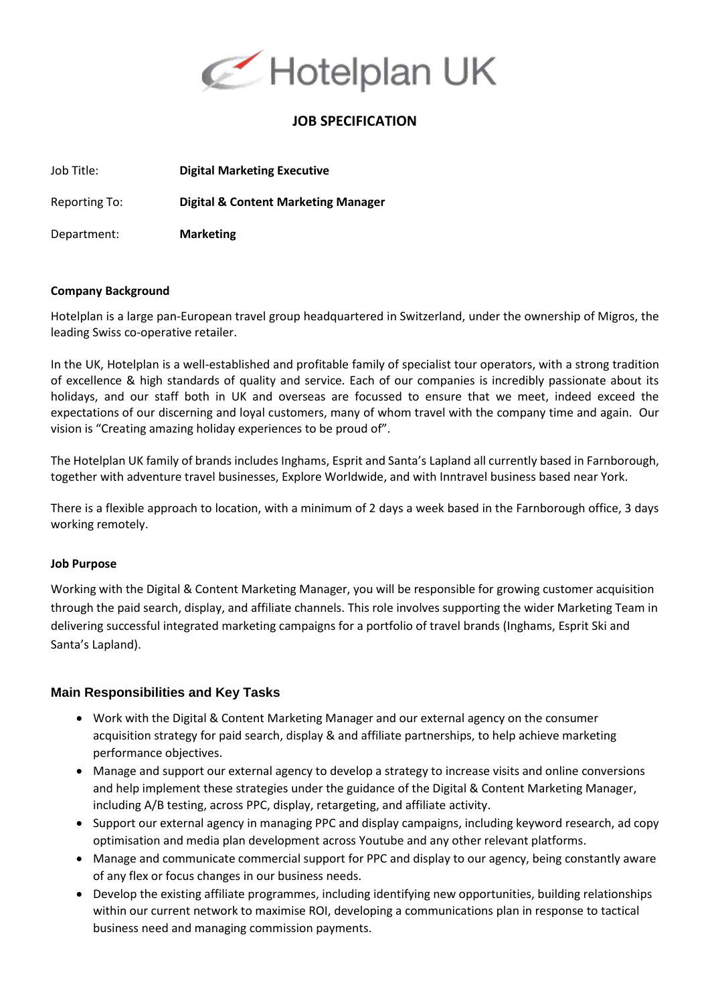

# **JOB SPECIFICATION**

Job Title: **Digital Marketing Executive**

Reporting To: **Digital & Content Marketing Manager**

Department: **Marketing**

#### **Company Background**

Hotelplan is a large pan-European travel group headquartered in Switzerland, under the ownership of Migros, the leading Swiss co-operative retailer.

In the UK, Hotelplan is a well-established and profitable family of specialist tour operators, with a strong tradition of excellence & high standards of quality and service. Each of our companies is incredibly passionate about its holidays, and our staff both in UK and overseas are focussed to ensure that we meet, indeed exceed the expectations of our discerning and loyal customers, many of whom travel with the company time and again. Our vision is "Creating amazing holiday experiences to be proud of".

The Hotelplan UK family of brands includes Inghams, Esprit and Santa's Lapland all currently based in Farnborough, together with adventure travel businesses, Explore Worldwide, and with Inntravel business based near York.

There is a flexible approach to location, with a minimum of 2 days a week based in the Farnborough office, 3 days working remotely.

## **Job Purpose**

Working with the Digital & Content Marketing Manager, you will be responsible for growing customer acquisition through the paid search, display, and affiliate channels. This role involves supporting the wider Marketing Team in delivering successful integrated marketing campaigns for a portfolio of travel brands (Inghams, Esprit Ski and Santa's Lapland).

## **Main Responsibilities and Key Tasks**

- Work with the Digital & Content Marketing Manager and our external agency on the consumer acquisition strategy for paid search, display & and affiliate partnerships, to help achieve marketing performance objectives.
- Manage and support our external agency to develop a strategy to increase visits and online conversions and help implement these strategies under the guidance of the Digital & Content Marketing Manager, including A/B testing, across PPC, display, retargeting, and affiliate activity.
- Support our external agency in managing PPC and display campaigns, including keyword research, ad copy optimisation and media plan development across Youtube and any other relevant platforms.
- Manage and communicate commercial support for PPC and display to our agency, being constantly aware of any flex or focus changes in our business needs.
- Develop the existing affiliate programmes, including identifying new opportunities, building relationships within our current network to maximise ROI, developing a communications plan in response to tactical business need and managing commission payments.